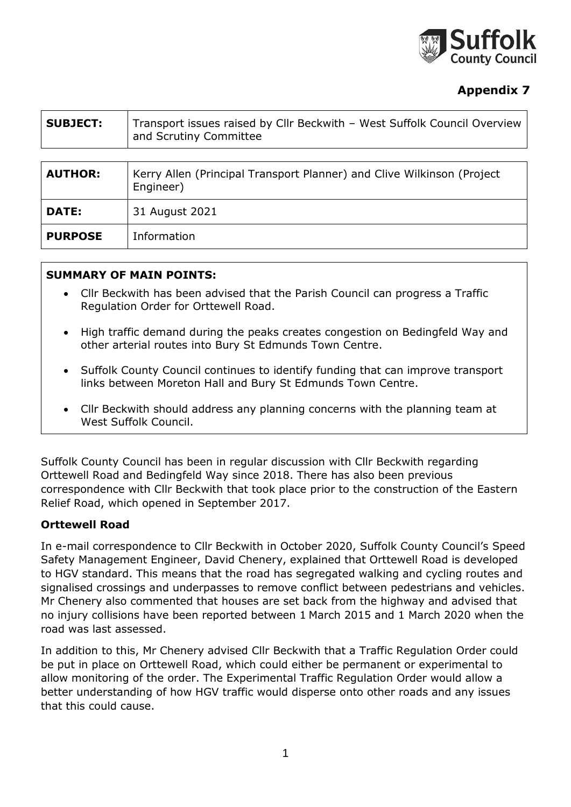

# **Appendix 7**

| <b>SUBJECT:</b> | Transport issues raised by Cllr Beckwith - West Suffolk Council Overview<br>and Scrutiny Committee |
|-----------------|----------------------------------------------------------------------------------------------------|
|                 |                                                                                                    |
| <b>AUTHOR:</b>  | Kerry Allen (Principal Transport Planner) and Clive Wilkinson (Project<br>Engineer)                |
| DATE:           | 31 August 2021                                                                                     |
| <b>PURPOSE</b>  | Information                                                                                        |

#### **SUMMARY OF MAIN POINTS:**

- Cllr Beckwith has been advised that the Parish Council can progress a Traffic Regulation Order for Orttewell Road.
- High traffic demand during the peaks creates congestion on Bedingfeld Way and other arterial routes into Bury St Edmunds Town Centre.
- Suffolk County Council continues to identify funding that can improve transport links between Moreton Hall and Bury St Edmunds Town Centre.
- Cllr Beckwith should address any planning concerns with the planning team at West Suffolk Council.

Suffolk County Council has been in regular discussion with Cllr Beckwith regarding Orttewell Road and Bedingfeld Way since 2018. There has also been previous correspondence with Cllr Beckwith that took place prior to the construction of the Eastern Relief Road, which opened in September 2017.

#### **Orttewell Road**

In e-mail correspondence to Cllr Beckwith in October 2020, Suffolk County Council's Speed Safety Management Engineer, David Chenery, explained that Orttewell Road is developed to HGV standard. This means that the road has segregated walking and cycling routes and signalised crossings and underpasses to remove conflict between pedestrians and vehicles. Mr Chenery also commented that houses are set back from the highway and advised that no injury collisions have been reported between 1 March 2015 and 1 March 2020 when the road was last assessed.

In addition to this, Mr Chenery advised Cllr Beckwith that a Traffic Regulation Order could be put in place on Orttewell Road, which could either be permanent or experimental to allow monitoring of the order. The Experimental Traffic Regulation Order would allow a better understanding of how HGV traffic would disperse onto other roads and any issues that this could cause.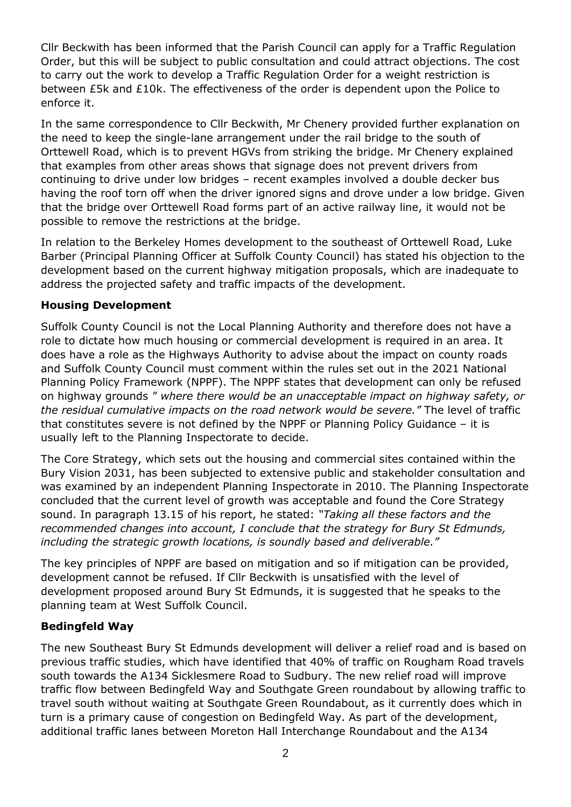Cllr Beckwith has been informed that the Parish Council can apply for a Traffic Regulation Order, but this will be subject to public consultation and could attract objections. The cost to carry out the work to develop a Traffic Regulation Order for a weight restriction is between £5k and £10k. The effectiveness of the order is dependent upon the Police to enforce it.

In the same correspondence to Cllr Beckwith, Mr Chenery provided further explanation on the need to keep the single-lane arrangement under the rail bridge to the south of Orttewell Road, which is to prevent HGVs from striking the bridge. Mr Chenery explained that examples from other areas shows that signage does not prevent drivers from continuing to drive under low bridges – recent examples involved a double decker bus having the roof torn off when the driver ignored signs and drove under a low bridge. Given that the bridge over Orttewell Road forms part of an active railway line, it would not be possible to remove the restrictions at the bridge.

In relation to the Berkeley Homes development to the southeast of Orttewell Road, Luke Barber (Principal Planning Officer at Suffolk County Council) has stated his objection to the development based on the current highway mitigation proposals, which are inadequate to address the projected safety and traffic impacts of the development.

## **Housing Development**

Suffolk County Council is not the Local Planning Authority and therefore does not have a role to dictate how much housing or commercial development is required in an area. It does have a role as the Highways Authority to advise about the impact on county roads and Suffolk County Council must comment within the rules set out in the 2021 National Planning Policy Framework (NPPF). The NPPF states that development can only be refused on highway grounds *" where there would be an unacceptable impact on highway safety, or the residual cumulative impacts on the road network would be severe."* The level of traffic that constitutes severe is not defined by the NPPF or Planning Policy Guidance – it is usually left to the Planning Inspectorate to decide.

The Core Strategy, which sets out the housing and commercial sites contained within the Bury Vision 2031, has been subjected to extensive public and stakeholder consultation and was examined by an independent Planning Inspectorate in 2010. The Planning Inspectorate concluded that the current level of growth was acceptable and found the Core Strategy sound. In paragraph 13.15 of his report, he stated: *"Taking all these factors and the recommended changes into account, I conclude that the strategy for Bury St Edmunds, including the strategic growth locations, is soundly based and deliverable."*

The key principles of NPPF are based on mitigation and so if mitigation can be provided, development cannot be refused. If Cllr Beckwith is unsatisfied with the level of development proposed around Bury St Edmunds, it is suggested that he speaks to the planning team at West Suffolk Council.

## **Bedingfeld Way**

The new Southeast Bury St Edmunds development will deliver a relief road and is based on previous traffic studies, which have identified that 40% of traffic on Rougham Road travels south towards the A134 Sicklesmere Road to Sudbury. The new relief road will improve traffic flow between Bedingfeld Way and Southgate Green roundabout by allowing traffic to travel south without waiting at Southgate Green Roundabout, as it currently does which in turn is a primary cause of congestion on Bedingfeld Way. As part of the development, additional traffic lanes between Moreton Hall Interchange Roundabout and the A134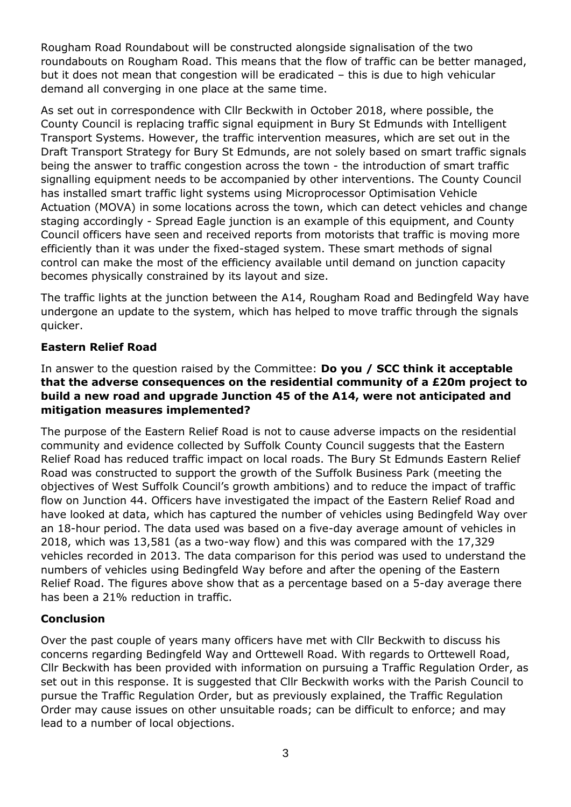Rougham Road Roundabout will be constructed alongside signalisation of the two roundabouts on Rougham Road. This means that the flow of traffic can be better managed, but it does not mean that congestion will be eradicated – this is due to high vehicular demand all converging in one place at the same time.

As set out in correspondence with Cllr Beckwith in October 2018, where possible, the County Council is replacing traffic signal equipment in Bury St Edmunds with Intelligent Transport Systems. However, the traffic intervention measures, which are set out in the Draft Transport Strategy for Bury St Edmunds, are not solely based on smart traffic signals being the answer to traffic congestion across the town - the introduction of smart traffic signalling equipment needs to be accompanied by other interventions. The County Council has installed smart traffic light systems using Microprocessor Optimisation Vehicle Actuation (MOVA) in some locations across the town, which can detect vehicles and change staging accordingly - Spread Eagle junction is an example of this equipment, and County Council officers have seen and received reports from motorists that traffic is moving more efficiently than it was under the fixed-staged system. These smart methods of signal control can make the most of the efficiency available until demand on junction capacity becomes physically constrained by its layout and size.

The traffic lights at the junction between the A14, Rougham Road and Bedingfeld Way have undergone an update to the system, which has helped to move traffic through the signals quicker.

## **Eastern Relief Road**

#### In answer to the question raised by the Committee: **Do you / SCC think it acceptable that the adverse consequences on the residential community of a £20m project to build a new road and upgrade Junction 45 of the A14, were not anticipated and mitigation measures implemented?**

The purpose of the Eastern Relief Road is not to cause adverse impacts on the residential community and evidence collected by Suffolk County Council suggests that the Eastern Relief Road has reduced traffic impact on local roads. The Bury St Edmunds Eastern Relief Road was constructed to support the growth of the Suffolk Business Park (meeting the objectives of West Suffolk Council's growth ambitions) and to reduce the impact of traffic flow on Junction 44. Officers have investigated the impact of the Eastern Relief Road and have looked at data, which has captured the number of vehicles using Bedingfeld Way over an 18-hour period. The data used was based on a five-day average amount of vehicles in 2018, which was 13,581 (as a two-way flow) and this was compared with the 17,329 vehicles recorded in 2013. The data comparison for this period was used to understand the numbers of vehicles using Bedingfeld Way before and after the opening of the Eastern Relief Road. The figures above show that as a percentage based on a 5-day average there has been a 21% reduction in traffic.

## **Conclusion**

Over the past couple of years many officers have met with Cllr Beckwith to discuss his concerns regarding Bedingfeld Way and Orttewell Road. With regards to Orttewell Road, Cllr Beckwith has been provided with information on pursuing a Traffic Regulation Order, as set out in this response. It is suggested that Cllr Beckwith works with the Parish Council to pursue the Traffic Regulation Order, but as previously explained, the Traffic Regulation Order may cause issues on other unsuitable roads; can be difficult to enforce; and may lead to a number of local objections.